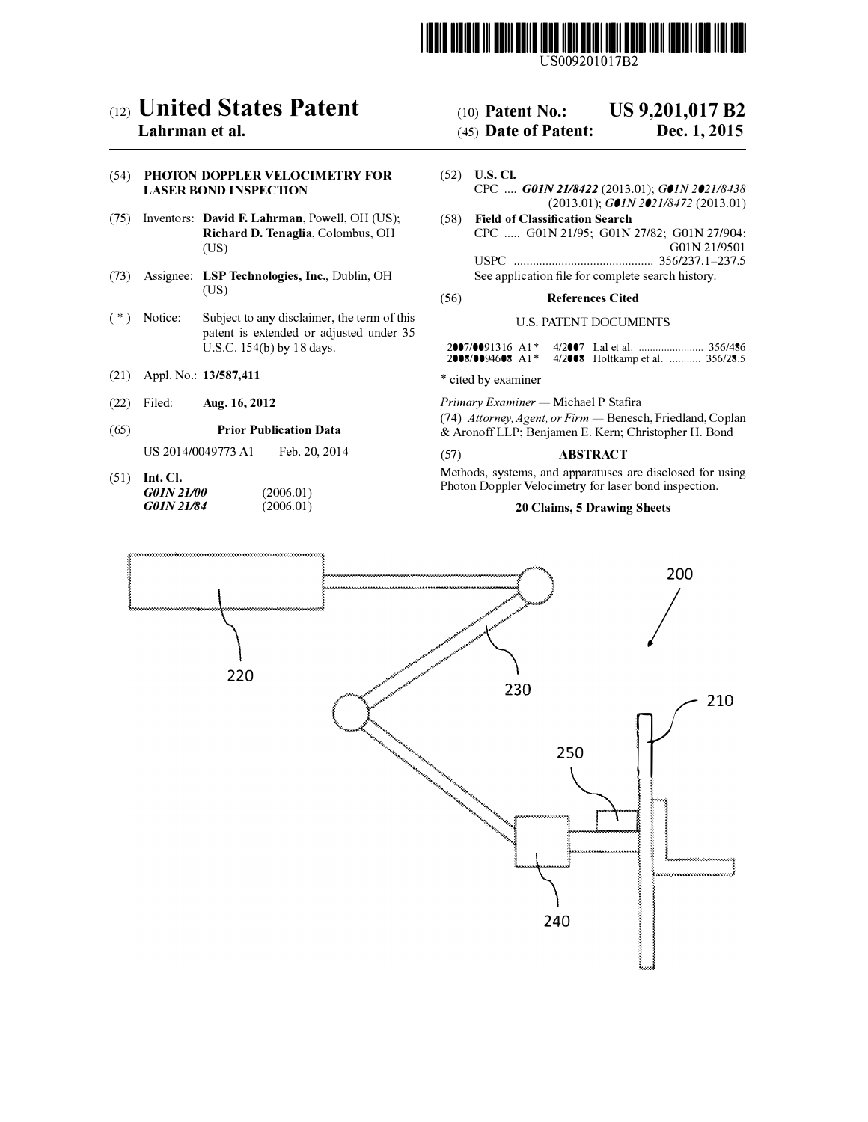

US009201017B2

## c12) **United States Patent**

## **Lahrman et al.**

#### (54) **PHOTON DOPPLER VELOCIMETRY FOR LASER BOND INSPECTION**

- (75) Inventors: **David F. Lahrman,** Powell, OH (US); **Richard D. Tenaglia,** Colombus, OH (US)
- (73) Assignee: **LSP Technologies, Inc.,** Dublin, OH (US)
- (\*) Notice: Subject to any disclaimer, the term of this patent is extended or adjusted under 35 U.S.C. 154(b) by 18 days.
- (21) Appl. No.: **13/587,411**
- (22) Filed: **Aug.16, 2012**

#### (65) **Prior Publication Data**

US 2014/0049773 Al Feb. 20,2014

(51) **Int. Cl.** *GOJN21/00 GOJN21/84* (2006.01)  $(2006.01)$ 

## (IO) **Patent No.: US 9,201,017 B2**

## (45) **Date of Patent: Dec. 1, 2015**

- (52) **U.S. Cl.** CPC .... *GOIN 2118422* (2013.01); *GOIN 2021/8438*  (2013.01); *GOIN 2021/8472* (2013.01) (58) **Field of Classification Search**
- CPC ..... GOIN 21/95; GOIN 27/82; GOIN 27/904; GOIN 21/9501 USPC ............................................ 356/237.1-237.5 See application file for complete search history.

#### (56) **References Cited**

#### U.S. PATENT DOCUMENTS

|  | 2008/0094608 A1* 4/2008 Holtkamp et al.  356/28.5 |  |
|--|---------------------------------------------------|--|

\* cited by examiner

*Primary Examiner* - Michael P Stafira (74) *Attorney, Agent, or Firm* - Benesch, Friedland, Coplan & Aronoff LLP; Benjamen E. Kern; Christopher H. Bond

#### (57) **ABSTRACT**

Methods, systems, and apparatuses are disclosed for using Photon Doppler Velocimetry for laser bond inspection.

#### **20 Claims, 5 Drawing Sheets**

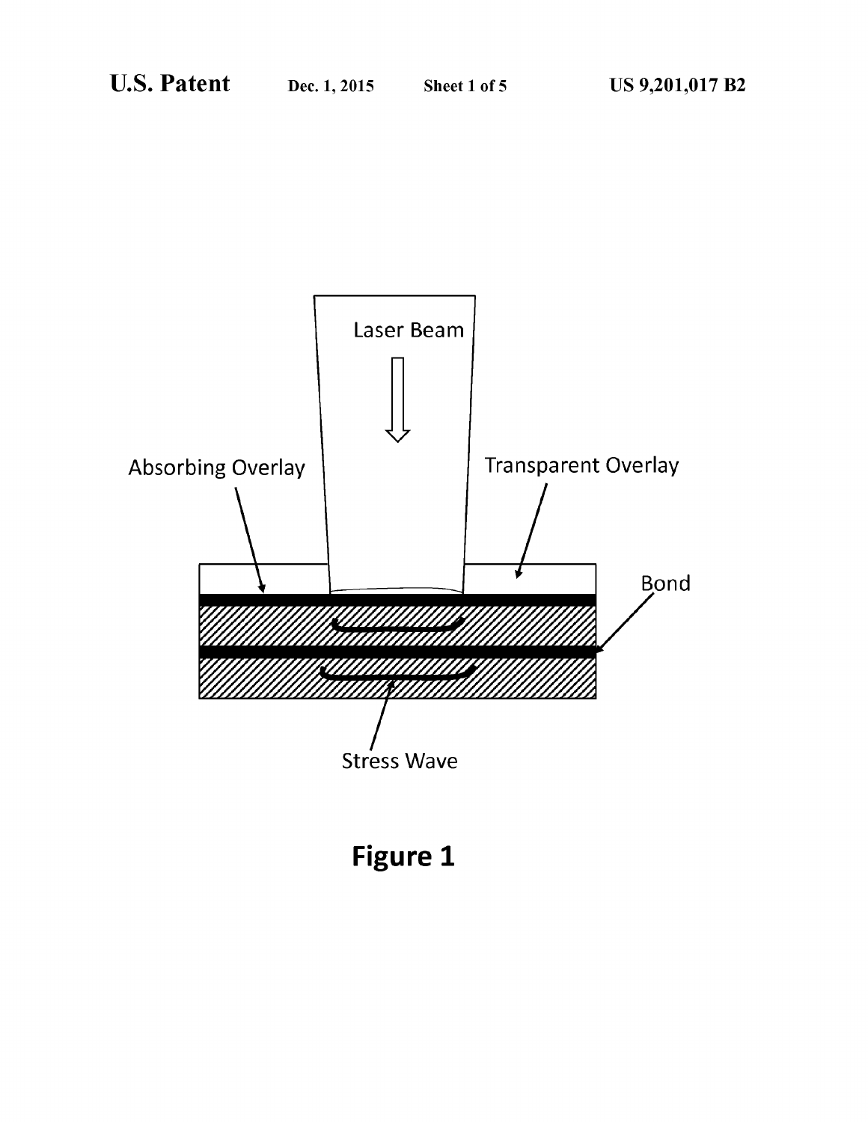

Figure 1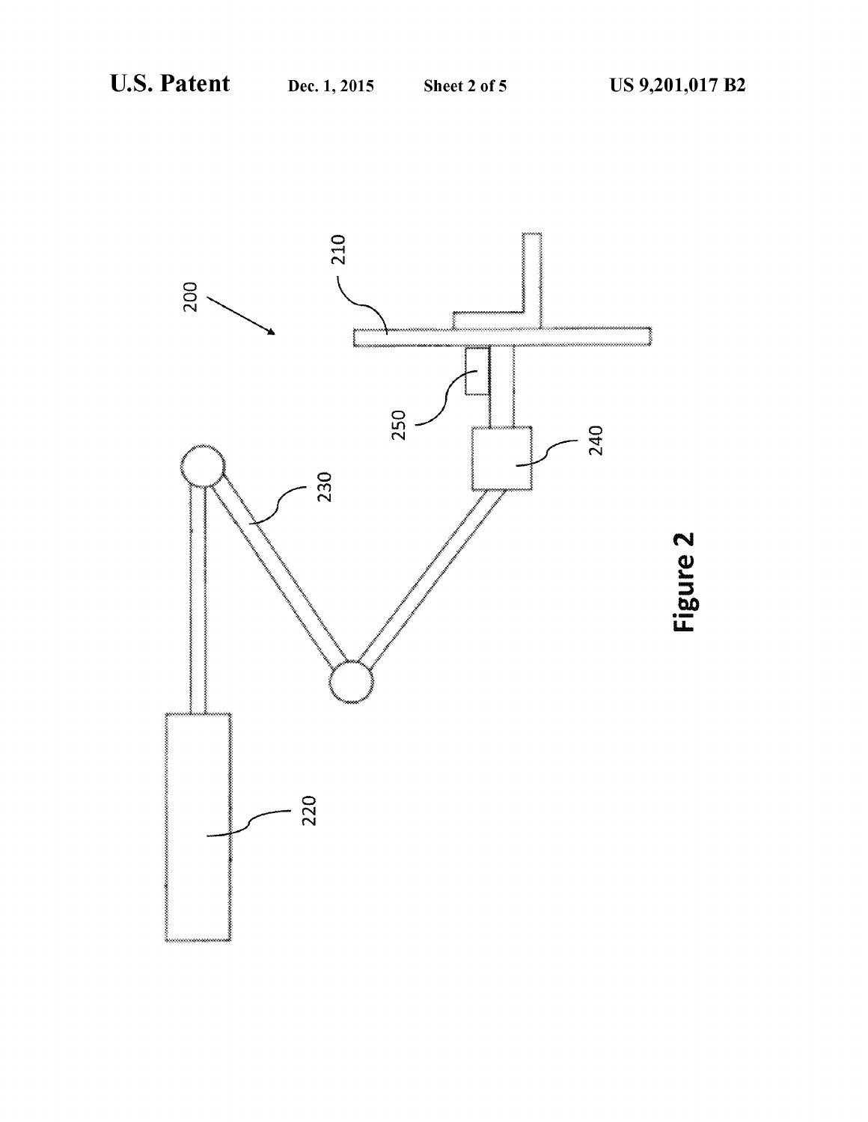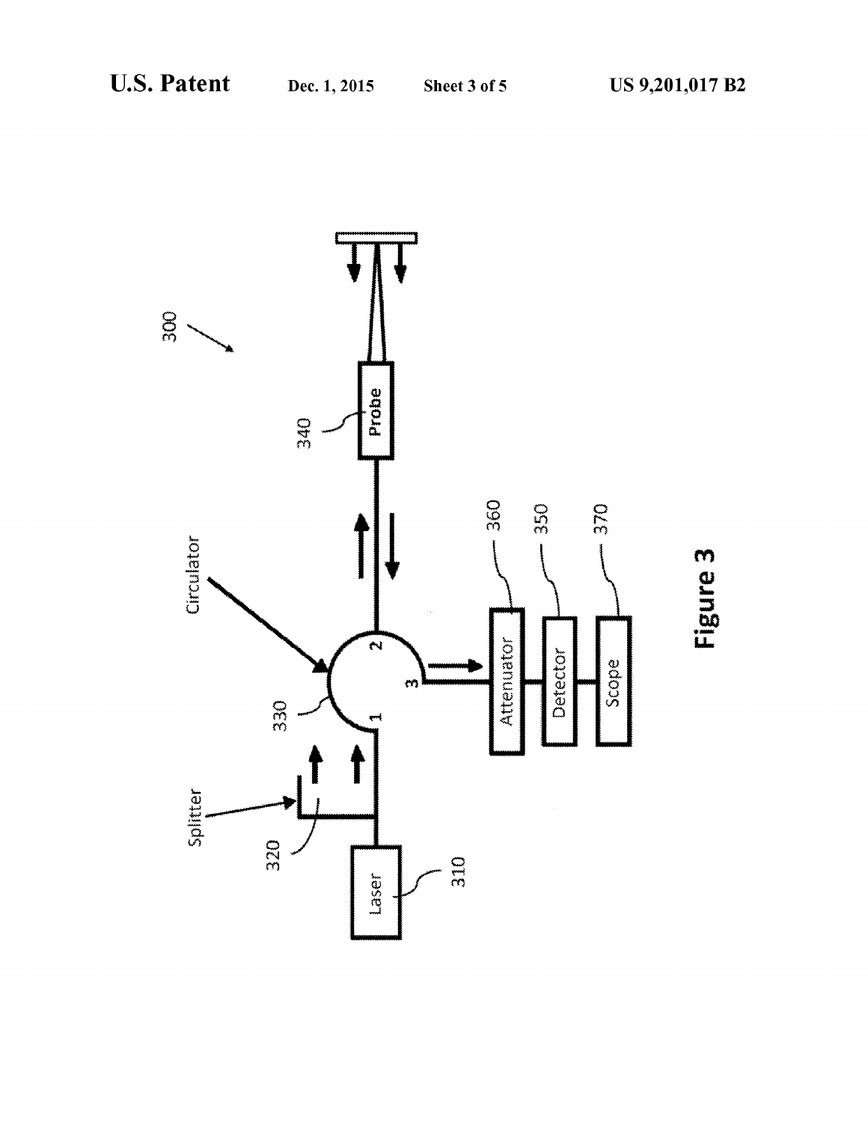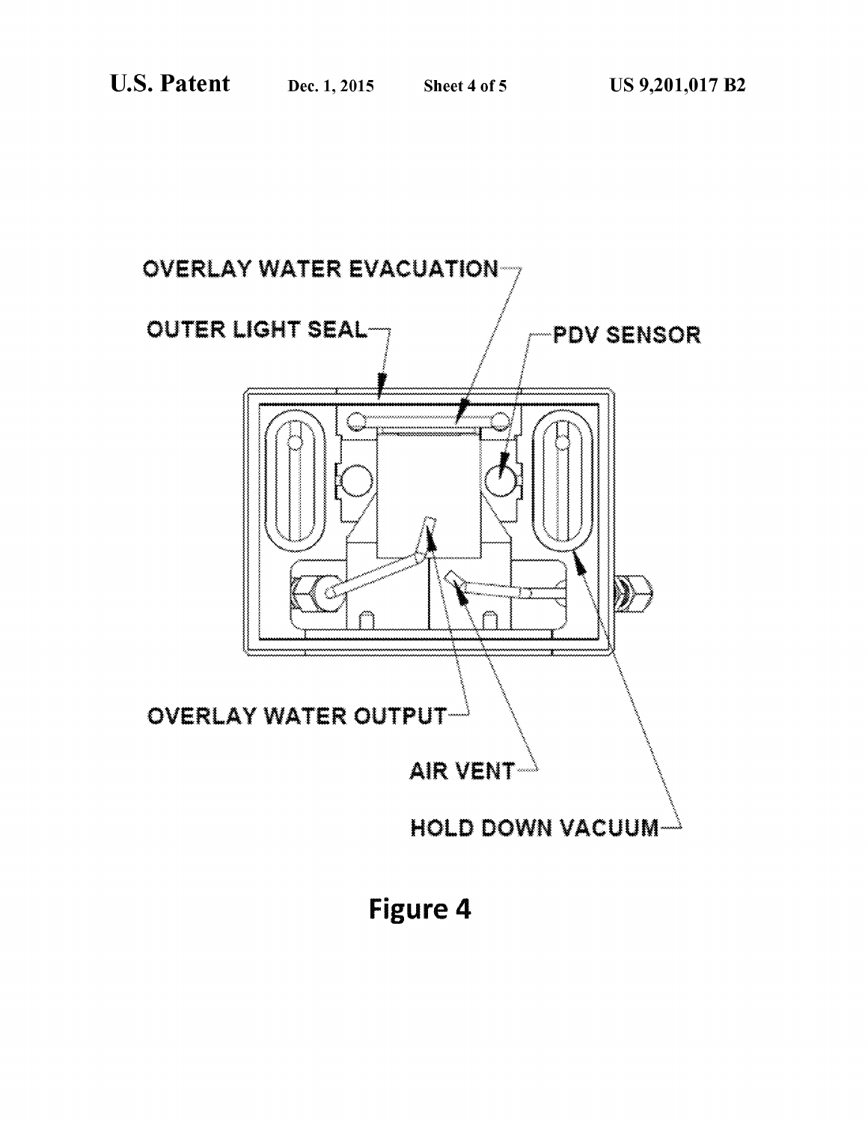

Figure 4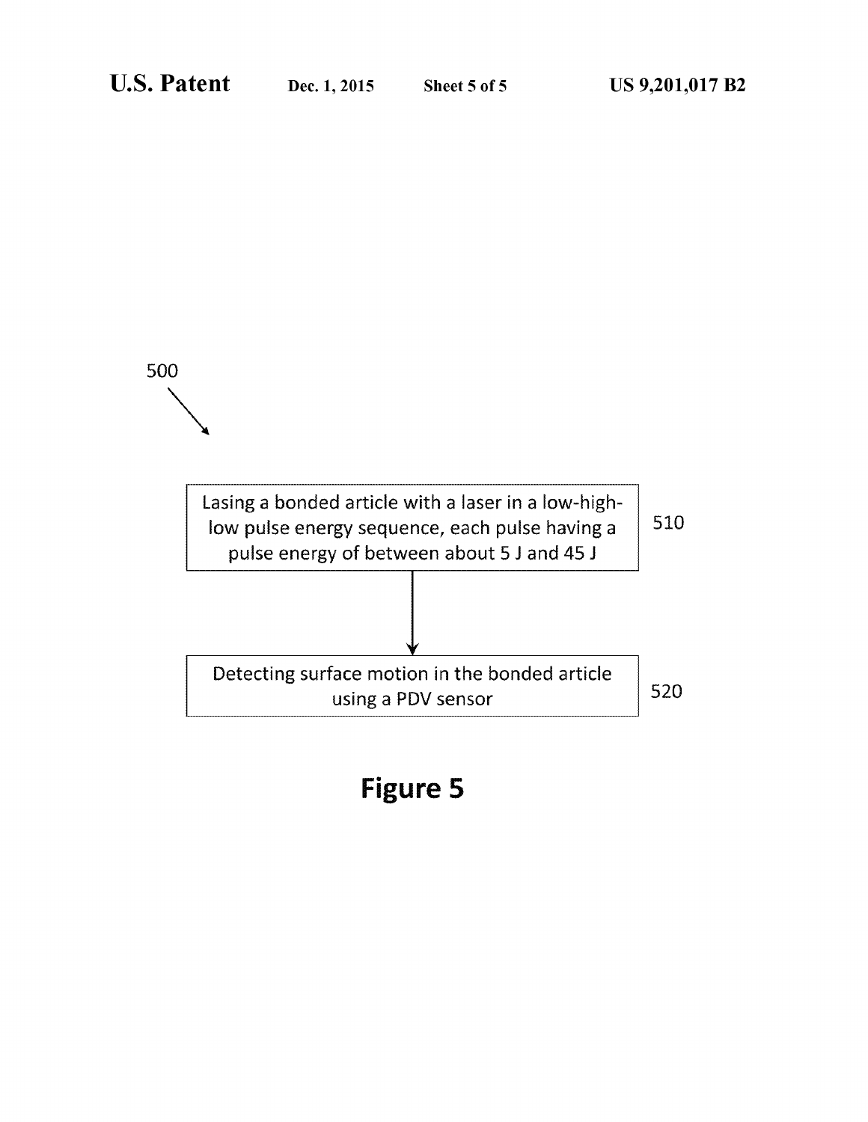

# **Figure 5**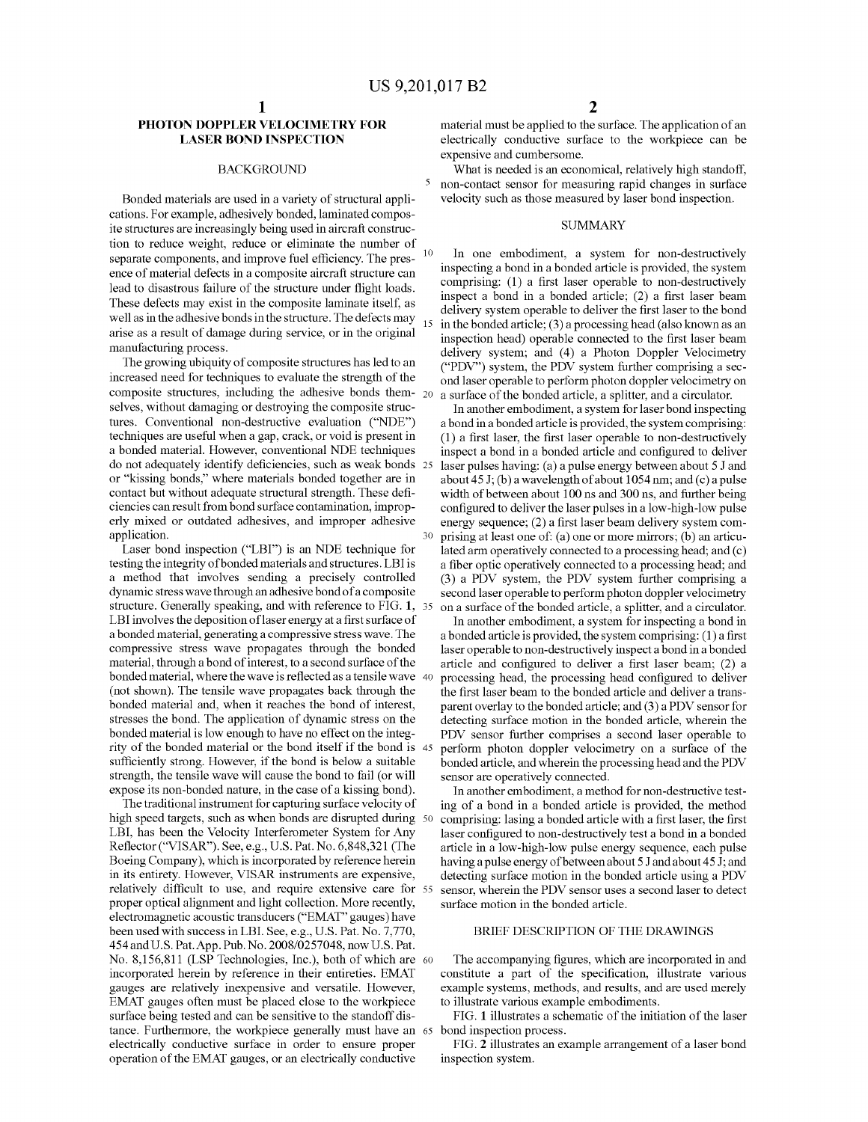$10$ 

#### PHOTON DOPPLER VELOCIMETRY FOR **LASER BOND INSPECTION**

#### **BACKGROUND**

Bonded materials are used in a variety of structural applications. For example, adhesively bonded, laminated composite structures are increasingly being used in aircraft construction to reduce weight, reduce or eliminate the number of separate components, and improve fuel efficiency. The presence of material defects in a composite aircraft structure can lead to disastrous failure of the structure under flight loads. These defects may exist in the composite laminate itself, as well as in the adhesive bonds in the structure. The defects may  $_{15}$ arise as a result of damage during service, or in the original manufacturing process.

The growing ubiquity of composite structures has led to an increased need for techniques to evaluate the strength of the composite structures, including the adhesive bonds them- $_{20}$ selves, without damaging or destroying the composite structures. Conventional non-destructive evaluation ("NDE") techniques are useful when a gap, crack, or void is present in a bonded material. However, conventional NDE techniques do not adequately identify deficiencies, such as weak bonds 25 or "kissing bonds," where materials bonded together are in contact but without adequate structural strength. These deficiencies can result from bond surface contamination, improperly mixed or outdated adhesives, and improper adhesive application.

Laser bond inspection ("LBI") is an NDE technique for testing the integrity of bonded materials and structures. LBI is a method that involves sending a precisely controlled dynamic stress wave through an adhesive bond of a composite structure. Generally speaking, and with reference to FIG. 1, 35 LBI involves the deposition of laser energy at a first surface of a bonded material, generating a compressive stress wave. The compressive stress wave propagates through the bonded material, through a bond of interest, to a second surface of the bonded material, where the wave is reflected as a tensile wave 40 (not shown). The tensile wave propagates back through the bonded material and, when it reaches the bond of interest, stresses the bond. The application of dynamic stress on the bonded material is low enough to have no effect on the integrity of the bonded material or the bond itself if the bond is 45 sufficiently strong. However, if the bond is below a suitable strength, the tensile wave will cause the bond to fail (or will expose its non-bonded nature, in the case of a kissing bond).

The traditional instrument for capturing surface velocity of high speed targets, such as when bonds are disrupted during 50 LBI, has been the Velocity Interferometer System for Any Reflector ("VISAR"). See, e.g., U.S. Pat. No. 6,848,321 (The Boeing Company), which is incorporated by reference herein in its entirety. However, VISAR instruments are expensive, relatively difficult to use, and require extensive care for 55 proper optical alignment and light collection. More recently, electromagnetic acoustic transducers ("EMAT" gauges) have been used with success in LBI. See, e.g., U.S. Pat. No. 7,770, 454 and U.S. Pat. App. Pub. No. 2008/0257048, now U.S. Pat. No. 8,156,811 (LSP Technologies, Inc.), both of which are 60 incorporated herein by reference in their entireties. EMAT gauges are relatively inexpensive and versatile. However, EMAT gauges often must be placed close to the workpiece surface being tested and can be sensitive to the standoff distance. Furthermore, the workpiece generally must have an 65 electrically conductive surface in order to ensure proper operation of the EMAT gauges, or an electrically conductive

material must be applied to the surface. The application of an electrically conductive surface to the workpiece can be expensive and cumbersome.

What is needed is an economical, relatively high standoff, non-contact sensor for measuring rapid changes in surface velocity such as those measured by laser bond inspection.

#### **SUMMARY**

In one embodiment, a system for non-destructively inspecting a bond in a bonded article is provided, the system comprising: (1) a first laser operable to non-destructively inspect a bond in a bonded article; (2) a first laser beam delivery system operable to deliver the first laser to the bond in the bonded article; (3) a processing head (also known as an inspection head) operable connected to the first laser beam delivery system; and (4) a Photon Doppler Velocimetry ("PDV") system, the PDV system further comprising a second laser operable to perform photon doppler velocimetry on a surface of the bonded article, a splitter, and a circulator.

In another embodiment, a system for laser bond inspecting a bond in a bonded article is provided, the system comprising: (1) a first laser, the first laser operable to non-destructively inspect a bond in a bonded article and configured to deliver laser pulses having: (a) a pulse energy between about 5 J and about 45 J; (b) a wavelength of about 1054 nm; and (c) a pulse width of between about 100 ns and 300 ns, and further being configured to deliver the laser pulses in a low-high-low pulse energy sequence; (2) a first laser beam delivery system comprising at least one of: (a) one or more mirrors; (b) an articulated arm operatively connected to a processing head; and (c) a fiber optic operatively connected to a processing head; and (3) a PDV system, the PDV system further comprising a second laser operable to perform photon doppler velocimetry on a surface of the bonded article, a splitter, and a circulator.

In another embodiment, a system for inspecting a bond in a bonded article is provided, the system comprising: (1) a first laser operable to non-destructively inspect a bond in a bonded article and configured to deliver a first laser beam; (2) a processing head, the processing head configured to deliver the first laser beam to the bonded article and deliver a transparent overlay to the bonded article; and (3) a PDV sensor for detecting surface motion in the bonded article, wherein the PDV sensor further comprises a second laser operable to perform photon doppler velocimetry on a surface of the bonded article, and wherein the processing head and the PDV sensor are operatively connected.

In another embodiment, a method for non-destructive testing of a bond in a bonded article is provided, the method comprising: lasing a bonded article with a first laser, the first laser configured to non-destructively test a bond in a bonded article in a low-high-low pulse energy sequence, each pulse having a pulse energy of between about 5 J and about 45 J; and detecting surface motion in the bonded article using a PDV sensor, wherein the PDV sensor uses a second laser to detect surface motion in the bonded article.

#### BRIEF DESCRIPTION OF THE DRAWINGS

The accompanying figures, which are incorporated in and constitute a part of the specification, illustrate various example systems, methods, and results, and are used merely to illustrate various example embodiments.

FIG. 1 illustrates a schematic of the initiation of the laser bond inspection process.

FIG. 2 illustrates an example arrangement of a laser bond inspection system.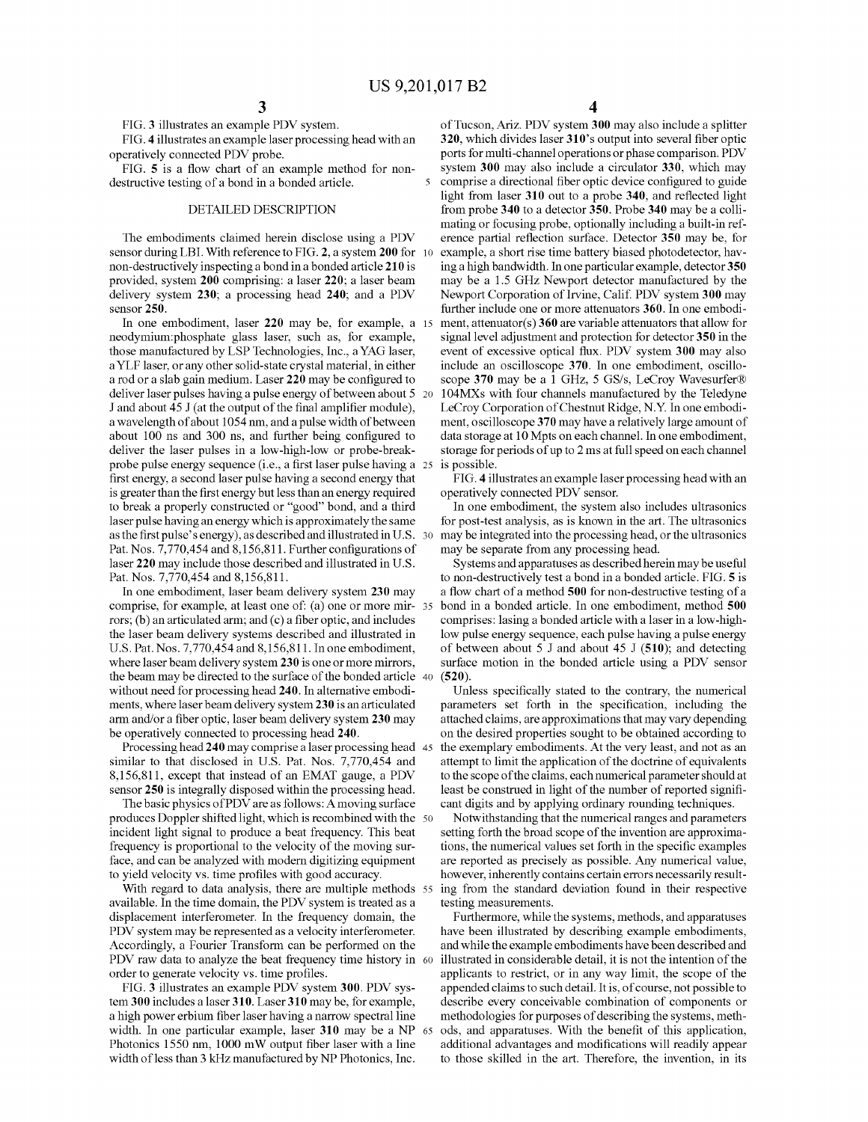5

FIG. 3 illustrates an example PDV system.

FIG. 4 illustrates an example laser processing head with an operatively connected PDV probe.

FIG. 5 is a flow chart of an example method for nondestructive testing of a bond in a bonded article.

#### DETAILED DESCRIPTION

The embodiments claimed herein disclose using a PDV sensor during LBI. With reference to FIG. 2, a system 200 for 10 non-destructively inspecting a bond in a bonded article 210 is provided, system 200 comprising: a laser 220; a laser beam delivery system 230; a processing head 240; and a PDV sensor 250.

In one embodiment, laser 220 may be, for example, a 15 neodymium:phosphate glass laser, such as, for example, those manufactured by LSP Technologies, Inc., a YAG laser, a YLF laser, or any other solid-state crystal material, in either a rod or a slab gain medium. Laser 220 may be configured to deliver laser pulses having a pulse energy of between about 5 20 J and about 45 J (at the output of the final amplifier module), a wavelength of about 1054 nm, and a pulse width of between about 100 ns and 300 ns, and further being configured to deliver the laser pulses in a low-high-low or probe-breakprobe pulse energy sequence (i.e., a first laser pulse having a 25 first energy, a second laser pulse having a second energy that is greater than the first energy but less than an energy required to break a properly constructed or "good" bond, and a third laser pulse having an energy which is approximately the same as the first pulse's energy), as described and illustrated in U.S. 30 Pat. Nos. 7,770,454 and 8,156,811. Further configurations of laser 220 may include those described and illustrated in U.S. Pat. Nos. 7,770,454 and 8,156,811.

In one embodiment, laser beam delivery system 230 may comprise, for example, at least one of: (a) one or more mir- 35 rors;  $(b)$  an articulated arm; and  $(c)$  a fiber optic, and includes the laser beam delivery systems described and illustrated in U.S. Pat. Nos. 7,770,454 and 8,156,811. In one embodiment, where laser beam delivery system 230 is one or more mirrors, the beam may be directed to the surface of the bonded article 40 without need for processing head 240. In alternative embodiments, where laser beam delivery system 230 is an articulated arm and/or a fiber optic, laser beam delivery system 230 may be operatively connected to processing head 240.

Processing head 240 may comprise a laser processing head 45 similar to that disclosed in U.S. Pat. Nos. 7,770,454 and 8.156.811, except that instead of an EMAT gauge, a PDV sensor 250 is integrally disposed within the processing head.

The basic physics of PDV are as follows: A moving surface produces Doppler shifted light, which is recombined with the 50 incident light signal to produce a beat frequency. This beat frequency is proportional to the velocity of the moving surface, and can be analyzed with modern digitizing equipment to yield velocity vs. time profiles with good accuracy.

With regard to data analysis, there are multiple methods 55 available. In the time domain, the PDV system is treated as a displacement interferometer. In the frequency domain, the PDV system may be represented as a velocity interferometer. Accordingly, a Fourier Transform can be performed on the PDV raw data to analyze the beat frequency time history in 60 order to generate velocity vs. time profiles.

FIG. 3 illustrates an example PDV system 300. PDV system 300 includes a laser 310. Laser 310 may be, for example, a high power erbium fiber laser having a narrow spectral line width. In one particular example, laser 310 may be a NP Photonics 1550 nm, 1000 mW output fiber laser with a line width of less than 3 kHz manufactured by NP Photonics, Inc.

of Tucson, Ariz. PDV system 300 may also include a splitter 320, which divides laser 310's output into several fiber optic ports for multi-channel operations or phase comparison. PDV system 300 may also include a circulator 330, which may comprise a directional fiber optic device configured to guide light from laser 310 out to a probe 340, and reflected light from probe 340 to a detector 350. Probe 340 may be a collimating or focusing probe, optionally including a built-in reference partial reflection surface. Detector 350 may be, for example, a short rise time battery biased photodetector, having a high bandwidth. In one particular example, detector 350 may be a 1.5 GHz Newport detector manufactured by the Newport Corporation of Irvine, Calif. PDV system 300 may further include one or more attenuators 360. In one embodiment, attenuator( $s$ ) 360 are variable attenuators that allow for signal level adjustment and protection for detector 350 in the event of excessive optical flux. PDV system 300 may also include an oscilloscope 370. In one embodiment, oscilloscope 370 may be a 1 GHz, 5 GS/s, LeCroy Wavesurfer® 104MXs with four channels manufactured by the Teledyne LeCroy Corporation of Chestnut Ridge, N.Y. In one embodiment, oscilloscope 370 may have a relatively large amount of data storage at 10 Mpts on each channel. In one embodiment, storage for periods of up to 2 ms at full speed on each channel is possible.

FIG. 4 illustrates an example laser processing head with an operatively connected PDV sensor.

In one embodiment, the system also includes ultrasonics for post-test analysis, as is known in the art. The ultrasonics may be integrated into the processing head, or the ultrasonics may be separate from any processing head.

Systems and apparatuses as described herein may be useful to non-destructively test a bond in a bonded article. FIG. 5 is a flow chart of a method 500 for non-destructive testing of a bond in a bonded article. In one embodiment, method 500 comprises: lasing a bonded article with a laser in a low-highlow pulse energy sequence, each pulse having a pulse energy of between about 5 J and about 45 J  $(510)$ ; and detecting surface motion in the bonded article using a PDV sensor  $(520)$ 

Unless specifically stated to the contrary, the numerical parameters set forth in the specification, including the attached claims, are approximations that may vary depending on the desired properties sought to be obtained according to the exemplary embodiments. At the very least, and not as an attempt to limit the application of the doctrine of equivalents to the scope of the claims, each numerical parameter should at least be construed in light of the number of reported significant digits and by applying ordinary rounding techniques.

Notwithstanding that the numerical ranges and parameters setting forth the broad scope of the invention are approximations, the numerical values set forth in the specific examples are reported as precisely as possible. Any numerical value, however, inherently contains certain errors necessarily resulting from the standard deviation found in their respective testing measurements.

Furthermore, while the systems, methods, and apparatuses have been illustrated by describing example embodiments, and while the example embodiments have been described and illustrated in considerable detail, it is not the intention of the applicants to restrict, or in any way limit, the scope of the appended claims to such detail. It is, of course, not possible to describe every conceivable combination of components or methodologies for purposes of describing the systems, methods, and apparatuses. With the benefit of this application, additional advantages and modifications will readily appear to those skilled in the art. Therefore, the invention, in its

4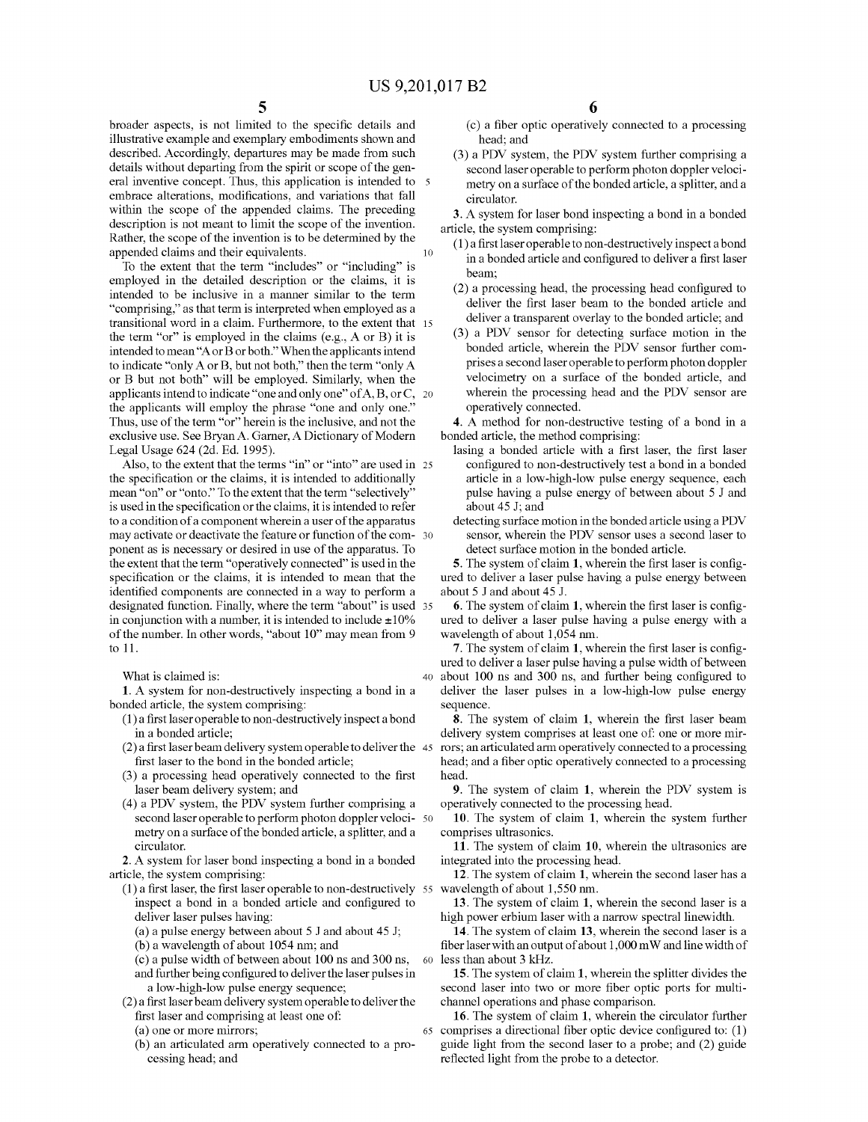broader aspects, is not limited to the specific details and illustrative example and exemplary embodiments shown and described. Accordingly, departures may be made from such details without departing from the spirit or scope of the general inventive concept. Thus, this application is intended to 5 embrace alterations, modifications, and variations that fall within the scope of the appended claims. The preceding description is not meant to limit the scope of the invention. Rather, the scope of the invention is to be determined by the appended claims and their equivalents. 10

To the extent that the term "includes" or "including" is employed in the detailed description or the claims, it is intended to be inclusive in a manner similar to the term "comprising," as that term is interpreted when employed as a transitional word in a claim. Furthermore, to the extent that 15 the term "or" is employed in the claims (e.g.,  $A$  or  $B$ ) it is intended to mean "A or B or both." When the applicants intend to indicate "only A or B, but not both," then the term "only A or B but not both" will be employed. Similarly, when the applicants intend to indicate "one and only one" of A, B, or C, 20 the applicants will employ the phrase "one and only one." Thus, use of the term "or" herein is the inclusive, and not the exclusive use. See Bryan A. Garner, A Dictionary of Modern Legal Usage 624 (2d. Ed. 1995).

Also, to the extent that the terms "in" or "into" are used in 25 the specification or the claims, it is intended to additionally mean "on" or "onto." To the extent that the term "selectively" is used in the specification or the claims, it is intended to refer to a condition of a component wherein a user of the apparatus may activate or deactivate the feature or function of the com- 30 ponent as is necessary or desired in use of the apparatus. To the extent that the term "operatively connected" is used in the specification or the claims, it is intended to mean that the identified components are connected in a way to perform a designated function. Finally, where the term "about" is used 35 in conjunction with a number, it is intended to include  $\pm 10\%$ of the number. In other words, "about 10" may mean from 9 to 11.

What is claimed is:

1. A system for non-destructively inspecting a bond in a bonded article, the system comprising:

- (1) a first laser operable to non-destructively inspect a bond in a bonded article;
- (2) a first laser beam delivery system operable to deliver the 45 first laser to the bond in the bonded article;
- (3) a processing head operatively connected to the first laser beam delivery system; and
- (4) a PDV system, the PDV system further comprising a second laser operable to perform photon doppler veloci- 50 metry on a surface of the bonded article, a splitter, and a circulator.
- 2. A system for laser bond inspecting a bond in a bonded article, the system comprising:
	- (1) a first laser, the first laser operable to non-destructively 55 wavelength of about 1,550 nm. inspect a bond in a bonded article and configured to deliver laser pulses having:
		- (a) a pulse energy between about  $5 \text{ J}$  and about  $45 \text{ J}$ ;
		- (b) a wavelength of about 1054 nm; and
		- (c) a pulse width of between about 100 ns and 300 ns, and further being configured to deliver the laser pulses in a low-high-low pulse energy sequence;

60

- (2) a first laser beam delivery system operable to deliver the first laser and comprising at least one of:
	- (a) one or more mirrors;
	- (b) an articulated arm operatively connected to a processing head; and

6

(c) a fiber optic operatively connected to a processing head; and

(3) a PDV system, the PDV system further comprising a second laser operable to perform photon doppler velocimetry on a surface of the bonded article, a splitter, and a circulator.

3. A system for laser bond inspecting a bond in a bonded article, the system comprising:

- (1) a first laser operable to non-destructively inspect a bond in a bonded article and configured to deliver a first laser beam:
- (2) a processing head, the processing head configured to deliver the first laser beam to the bonded article and deliver a transparent overlay to the bonded article; and
- (3) a PDV sensor for detecting surface motion in the bonded article, wherein the PDV sensor further comprises a second laser operable to perform photon doppler velocimetry on a surface of the bonded article, and wherein the processing head and the PDV sensor are operatively connected.

4. A method for non-destructive testing of a bond in a bonded article, the method comprising:

- lasing a bonded article with a first laser, the first laser configured to non-destructively test a bond in a bonded article in a low-high-low pulse energy sequence, each pulse having a pulse energy of between about 5 J and about 45 J; and
- detecting surface motion in the bonded article using a PDV sensor, wherein the PDV sensor uses a second laser to detect surface motion in the bonded article.

5. The system of claim 1, wherein the first laser is configured to deliver a laser pulse having a pulse energy between about 5 J and about 45 J.

6. The system of claim 1, wherein the first laser is configured to deliver a laser pulse having a pulse energy with a wavelength of about 1,054 nm.

7. The system of claim 1, wherein the first laser is configured to deliver a laser pulse having a pulse width of between 40 about 100 ns and 300 ns, and further being configured to deliver the laser pulses in a low-high-low pulse energy sequence.

8. The system of claim 1, wherein the first laser beam delivery system comprises at least one of: one or more mirrors; an articulated arm operatively connected to a processing head; and a fiber optic operatively connected to a processing head.

9. The system of claim 1, wherein the PDV system is operatively connected to the processing head.

10. The system of claim 1, wherein the system further comprises ultrasonics.

11. The system of claim 10, wherein the ultrasonics are integrated into the processing head.

12. The system of claim 1, wherein the second laser has a

13. The system of claim 1, wherein the second laser is a high power erbium laser with a narrow spectral linewidth.

14. The system of claim 13, wherein the second laser is a fiber laser with an output of about 1,000 mW and line width of less than about 3 kHz.

15. The system of claim 1, wherein the splitter divides the second laser into two or more fiber optic ports for multichannel operations and phase comparison.

16. The system of claim 1, wherein the circulator further 65 comprises a directional fiber optic device configured to: (1) guide light from the second laser to a probe; and (2) guide reflected light from the probe to a detector.